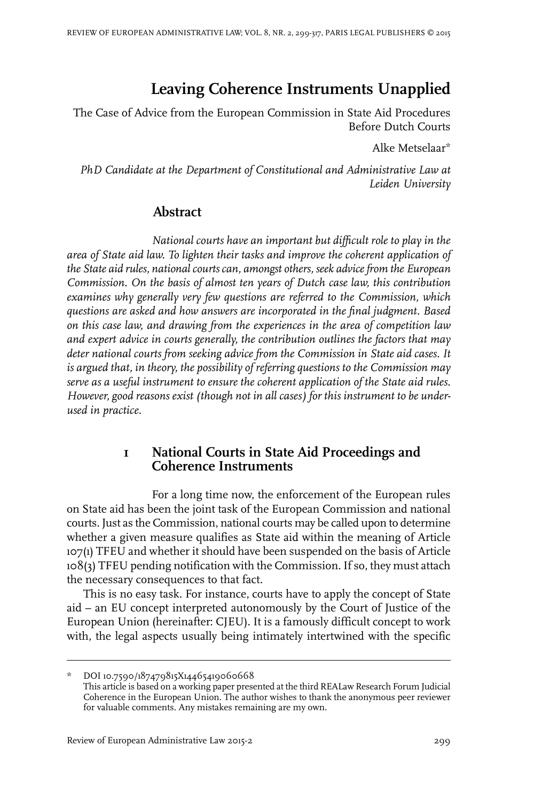# **Leaving Coherence Instruments Unapplied**

The Case of Advice from the European Commission in State Aid Procedures Before Dutch Courts

Alke Metselaar\*

*PhD Candidate at the Department of Constitutional and Administrative Law at Leiden University*

# **Abstract**

*National courts have an important but difficult role to play in the area of State aid law. To lighten their tasks and improve the coherent application of the State aid rules, nationalcourtscan, amongst others, seek advicefrom the European Commission. On the basis of almost ten years of Dutch case law, this contribution examines why generally very few questions are referred to the Commission, which questions are asked and how answers are incorporated in the final judgment. Based on this case law, and drawing from the experiences in the area of competition law and expert advice in courts generally, the contribution outlines the factors that may deter national courts from seeking advice from the Commission in State aid cases. It is argued that, in theory, the possibility of referring questions to the Commission may serve as a useful instrument to ensure the coherent application of the State aid rules. However, good reasons exist (though not in all cases) for this instrument to be underused in practice.*

# **1 National Courts in State Aid Proceedings and Coherence Instruments**

For a long time now, the enforcement of the European rules on State aid has been the joint task of the European Commission and national courts. Just as the Commission, national courts may be called upon to determine whether a given measure qualifies as State aid within the meaning of Article 107(1) TFEU and whether it should have been suspended on the basis of Article 108(3) TFEU pending notification with the Commission. If so, they must attach the necessary consequences to that fact.

This is no easy task. For instance, courts have to apply the concept of State aid – an EU concept interpreted autonomously by the Court of Justice of the European Union (hereinafter: CJEU). It is a famously difficult concept to work with, the legal aspects usually being intimately intertwined with the specific

DOI 10.7590/187479815X14465419060668 This article is based on a working paper presented at the third REALaw Research Forum Judicial Coherence in the European Union. The author wishes to thank the anonymous peer reviewer for valuable comments. Any mistakes remaining are my own.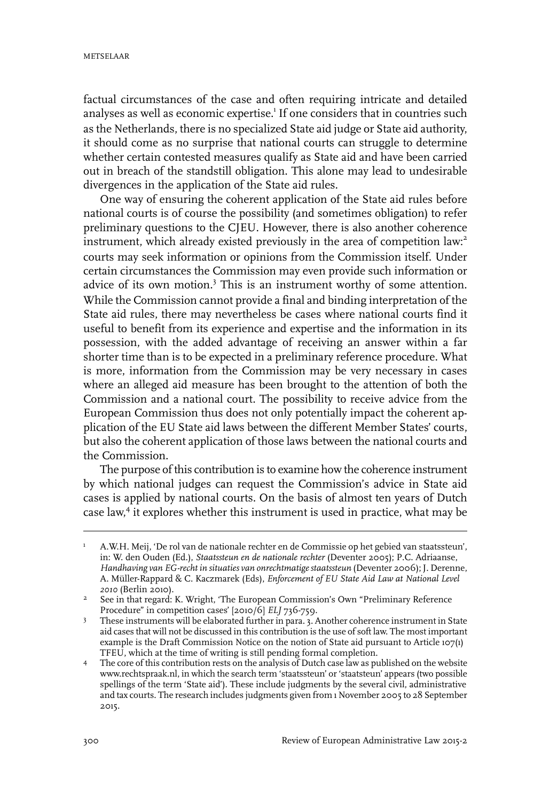factual circumstances of the case and often requiring intricate and detailed analyses as well as economic expertise.<sup>1</sup> If one considers that in countries such as the Netherlands, there is no specialized State aid judge or State aid authority, it should come as no surprise that national courts can struggle to determine whether certain contested measures qualify as State aid and have been carried out in breach of the standstill obligation. This alone may lead to undesirable divergences in the application of the State aid rules.

One way of ensuring the coherent application of the State aid rules before national courts is of course the possibility (and sometimes obligation) to refer preliminary questions to the CJEU. However, there is also another coherence instrument, which already existed previously in the area of competition law: 2 courts may seek information or opinions from the Commission itself. Under certain circumstances the Commission may even provide such information or advice of its own motion.<sup>3</sup> This is an instrument worthy of some attention. While the Commission cannot provide a final and binding interpretation of the State aid rules, there may nevertheless be cases where national courts find it useful to benefit from its experience and expertise and the information in its possession, with the added advantage of receiving an answer within a far shorter time than is to be expected in a preliminary reference procedure. What is more, information from the Commission may be very necessary in cases where an alleged aid measure has been brought to the attention of both the Commission and a national court. The possibility to receive advice from the European Commission thus does not only potentially impact the coherent application of the EU State aid laws between the different Member States' courts, but also the coherent application of those laws between the national courts and the Commission.

The purpose of this contribution is to examine how the coherence instrument by which national judges can request the Commission's advice in State aid cases is applied by national courts. On the basis of almost ten years of Dutch case law, 4 it explores whether this instrument is used in practice, what may be

A.W.H. Meij, 'De rol van de nationale rechter en de Commissie op het gebied van staatssteun', in: W. den Ouden (Ed.), *Staatssteun en de nationale rechter* (Deventer 2005); P.C. Adriaanse, 1 *Handhaving van EG-recht in situaties van onrechtmatigestaatssteun* (Deventer 2006); J. Derenne, A. Müller-Rappard & C. Kaczmarek (Eds), *Enforcement of EU State Aid Law at National Level 2010* (Berlin 2010).

<sup>&</sup>lt;sup>2</sup> See in that regard: K. Wright, 'The European Commission's Own "Preliminary Reference Procedure" in competition cases' [2010/6] *ELJ* 736-759.

These instruments will be elaborated further in para. 3. Another coherence instrument in State aid cases that will not be discussed in this contribution is the use of soft law. The most important 3 example is the Draft Commission Notice on the notion of State aid pursuant to Article 107(1) TFEU, which at the time of writing is still pending formal completion.

The core of this contribution rests on the analysis of Dutch case law as published on the website www.rechtspraak.nl, in which the search term 'staatssteun' or 'staatsteun' appears (two possible 4 spellings of the term 'State aid'). These include judgments by the several civil, administrative and tax courts. The research includes judgments given from 1 November 2005 to 28 September 2015.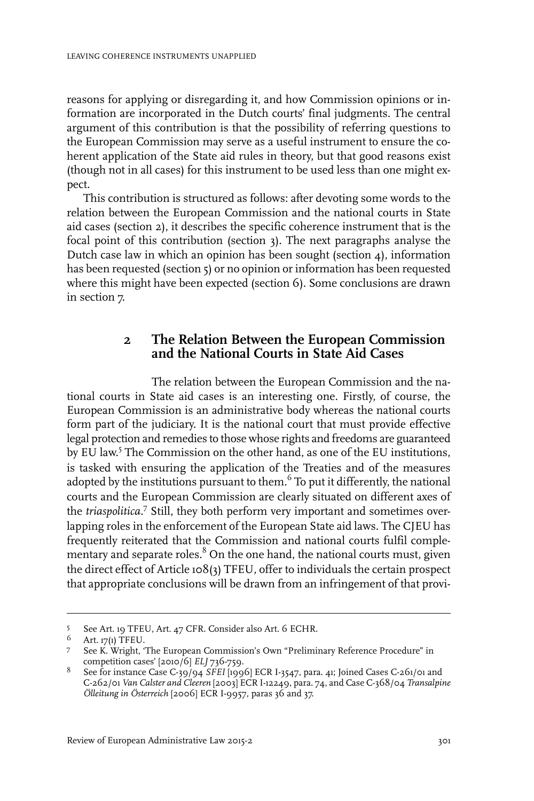reasons for applying or disregarding it, and how Commission opinions or information are incorporated in the Dutch courts' final judgments. The central argument of this contribution is that the possibility of referring questions to the European Commission may serve as a useful instrument to ensure the coherent application of the State aid rules in theory, but that good reasons exist (though not in all cases) for this instrument to be used less than one might expect.

This contribution is structured as follows: after devoting some words to the relation between the European Commission and the national courts in State aid cases (section 2), it describes the specific coherence instrument that is the focal point of this contribution (section 3). The next paragraphs analyse the Dutch case law in which an opinion has been sought (section 4), information has been requested (section 5) or no opinion or information has been requested where this might have been expected (section 6). Some conclusions are drawn in section 7.

## **2 The Relation Between the European Commission and the National Courts in State Aid Cases**

The relation between the European Commission and the national courts in State aid cases is an interesting one. Firstly, of course, the European Commission is an administrative body whereas the national courts form part of the judiciary. It is the national court that must provide effective legal protection and remedies to those whose rights and freedoms are guaranteed by EU law. 5 The Commission on the other hand, as one of the EU institutions, is tasked with ensuring the application of the Treaties and of the measures adopted by the institutions pursuant to them.<sup>6</sup> To put it differently, the national courts and the European Commission are clearly situated on different axes of the *triaspolitica*. 7 Still, they both perform very important and sometimes overlapping roles in the enforcement of the European State aid laws. The CJEU has frequently reiterated that the Commission and national courts fulfil complementary and separate roles. $8$  On the one hand, the national courts must, given the direct effect of Article 108(3) TFEU, offer to individuals the certain prospect that appropriate conclusions will be drawn from an infringement of that provi-

<sup>5</sup> See Art. 19 TFEU, Art. 47 CFR. Consider also Art. 6 ECHR.

Art. 17(1) TFEU. <sup>6</sup>

<sup>7</sup> See K. Wright, 'The European Commission's Own "Preliminary Reference Procedure" in competition cases' [2010/6] *ELJ* 736-759.

See for instance Case C-39/94 *SFEI* [1996] ECR I-3547, para. 41; Joined Cases C-261/01 and 8 C-262/01 *Van Calster and Cleeren* [2003] ECR I-12249, para. 74, and Case C-368/04 *Transalpine Ölleitung in Österreich* [2006] ECR I-9957, paras 36 and 37.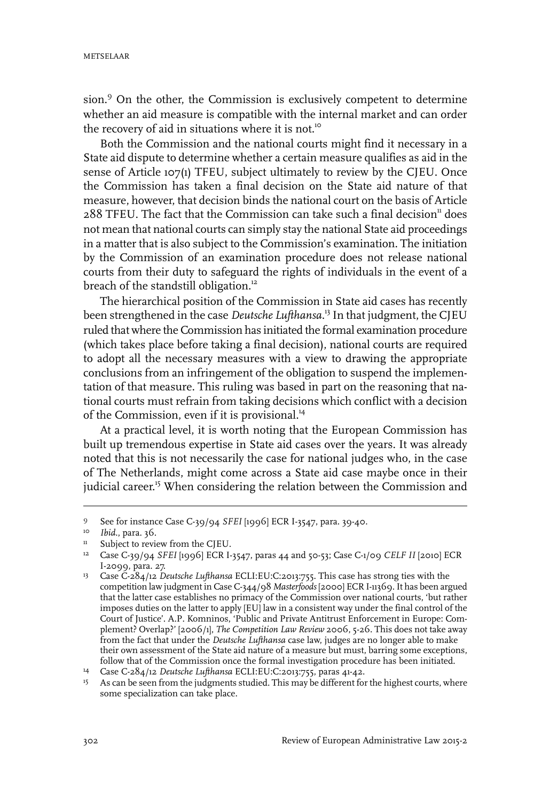sion.<sup>9</sup> On the other, the Commission is exclusively competent to determine whether an aid measure is compatible with the internal market and can order the recovery of aid in situations where it is not.<sup>10</sup>

Both the Commission and the national courts might find it necessary in a State aid dispute to determine whether a certain measure qualifies as aid in the sense of Article 107(1) TFEU, subject ultimately to review by the CJEU. Once the Commission has taken a final decision on the State aid nature of that measure, however, that decision binds the national court on the basis of Article  $288$  TFEU. The fact that the Commission can take such a final decision<sup>11</sup> does not mean that national courts can simply stay the national State aid proceedings in a matter that is also subject to the Commission's examination. The initiation by the Commission of an examination procedure does not release national courts from their duty to safeguard the rights of individuals in the event of a breach of the standstill obligation.<sup>12</sup>

The hierarchical position of the Commission in State aid cases has recently been strengthened in the case *Deutsche Lufthansa*. <sup>13</sup> In that judgment, the CJEU ruled that where the Commission has initiated the formal examination procedure (which takes place before taking a final decision), national courts are required to adopt all the necessary measures with a view to drawing the appropriate conclusions from an infringement of the obligation to suspend the implementation of that measure. This ruling was based in part on the reasoning that national courts must refrain from taking decisions which conflict with a decision of the Commission, even if it is provisional.<sup>14</sup>

At a practical level, it is worth noting that the European Commission has built up tremendous expertise in State aid cases over the years. It was already noted that this is not necessarily the case for national judges who, in the case of The Netherlands, might come across a State aid case maybe once in their judicial career.<sup>15</sup> When considering the relation between the Commission and

See for instance Case C-39/94 *SFEI* [1996] ECR I-3547, para. 39-40. <sup>9</sup>

<sup>&</sup>lt;sup>10</sup> *Ibid.*, para. 36.

<sup>&</sup>lt;sup>11</sup> Subject to review from the CJEU.

Case C-39/94 *SFEI* [1996] ECR I-3547, paras 44 and 50-53; Case C-1/09 *CELF II* [2010] ECR 12 I-2099, para. 27.

<sup>&</sup>lt;sup>13</sup> Case C-284/12 Deutsche Lufthansa ECLI:EU:C:2013:755. This case has strong ties with the competition law judgment in Case C-344/98 *Masterfoods* [2000] ECR I-11369.It has been argued that the latter case establishes no primacy of the Commission over national courts, 'but rather imposes duties on the latter to apply [EU] law in a consistent way under the final control of the Court of Justice'. A.P. Komninos, 'Public and Private Antitrust Enforcement in Europe: Complement? Overlap?' [2006/1], *The Competition Law Review* 2006, 5-26. This does not take away from the fact that under the *Deutsche Lufthansa* case law, judges are no longer able to make their own assessment of the State aid nature of a measure but must, barring some exceptions, follow that of the Commission once the formal investigation procedure has been initiated.

Case C-284/12 *Deutsche Lufthansa* ECLI:EU:C:2013:755, paras 41-42. <sup>14</sup>

<sup>&</sup>lt;sup>15</sup> As can be seen from the judgments studied. This may be different for the highest courts, where some specialization can take place.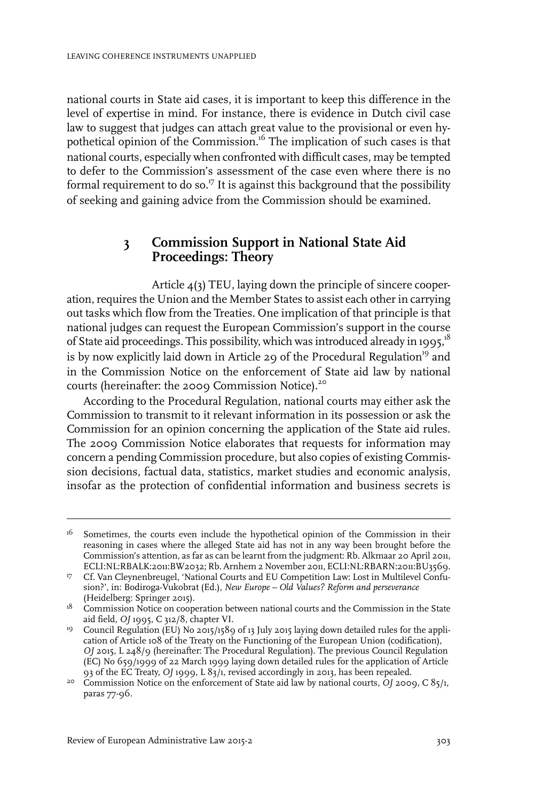national courts in State aid cases, it is important to keep this difference in the level of expertise in mind. For instance, there is evidence in Dutch civil case law to suggest that judges can attach great value to the provisional or even hypothetical opinion of the Commission.<sup>16</sup> The implication of such cases is that national courts, especially when confronted with difficult cases, may be tempted to defer to the Commission's assessment of the case even where there is no formal requirement to do so. $^{17}$  It is against this background that the possibility of seeking and gaining advice from the Commission should be examined.

### **3 Commission Support in National State Aid Proceedings: Theory**

Article 4(3) TEU, laying down the principle of sincere cooperation, requires the Union and the Member States to assist each other in carrying out tasks which flow from the Treaties. One implication of that principle is that national judges can request the European Commission's support in the course of State aid proceedings. This possibility, which was introduced already in 1995,<sup>18</sup> is by now explicitly laid down in Article 29 of the Procedural Regulation<sup>19</sup> and in the Commission Notice on the enforcement of State aid law by national courts (hereinafter: the 2009 Commission Notice).<sup>20</sup>

According to the Procedural Regulation, national courts may either ask the Commission to transmit to it relevant information in its possession or ask the Commission for an opinion concerning the application of the State aid rules. The 2009 Commission Notice elaborates that requests for information may concern a pending Commission procedure, but also copies of existing Commission decisions, factual data, statistics, market studies and economic analysis, insofar as the protection of confidential information and business secrets is

Sometimes, the courts even include the hypothetical opinion of the Commission in their reasoning in cases where the alleged State aid has not in any way been brought before the 16 Commission's attention, as far as can be learnt from the judgment: Rb. Alkmaar 20 April 2011, ECLI:NL:RBALK:2011:BW2032; Rb. Arnhem 2 November 2011, ECLI:NL:RBARN:2011:BU3569.

<sup>&</sup>lt;sup>17</sup> Cf. Van Cleynenbreugel, 'National Courts and EU Competition Law: Lost in Multilevel Confusion?', in: Bodiroga-Vukobrat (Ed.), *New Europe – Old Values? Reform and perseverance* (Heidelberg: Springer 2015).

<sup>&</sup>lt;sup>18</sup> Commission Notice on cooperation between national courts and the Commission in the State aid field, *OJ* 1995, C 312/8, chapter VI.

<sup>&</sup>lt;sup>19</sup> Council Regulation (EU) No 2015/1589 of 13 July 2015 laying down detailed rules for the application of Article 108 of the Treaty on the Functioning of the European Union (codification), *OJ* 2015, L 248/9 (hereinafter: The Procedural Regulation). The previous Council Regulation (EC) No 659/1999 of 22 March 1999 laying down detailed rules for the application of Article 93 of the EC Treaty, *OJ* 1999, L 83/1, revised accordingly in 2013, has been repealed.

<sup>&</sup>lt;sup>20</sup> Commission Notice on the enforcement of State aid law by national courts, *OJ* 2009, C 85/1, paras 77-96.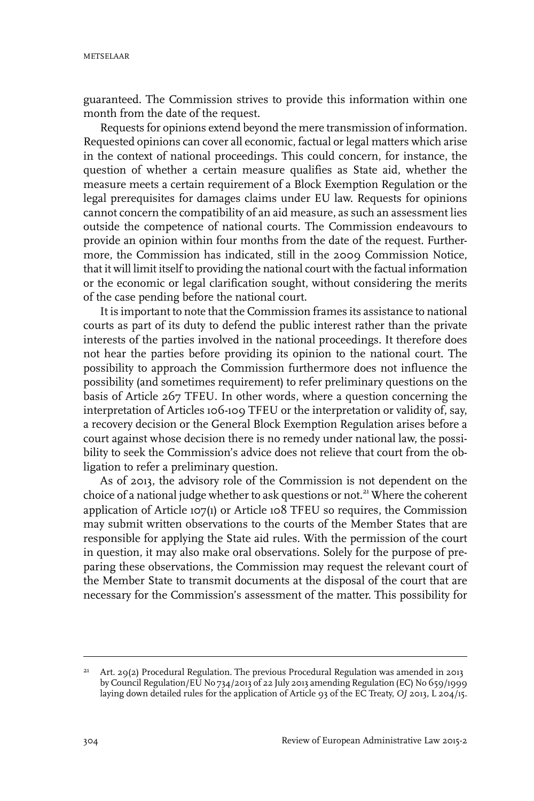guaranteed. The Commission strives to provide this information within one month from the date of the request.

Requests for opinions extend beyond the mere transmission of information. Requested opinions can cover all economic, factual or legal matters which arise in the context of national proceedings. This could concern, for instance, the question of whether a certain measure qualifies as State aid, whether the measure meets a certain requirement of a Block Exemption Regulation or the legal prerequisites for damages claims under EU law. Requests for opinions cannot concern the compatibility of an aid measure, as such an assessment lies outside the competence of national courts. The Commission endeavours to provide an opinion within four months from the date of the request. Furthermore, the Commission has indicated, still in the 2009 Commission Notice, that it will limit itself to providing the national court with the factual information or the economic or legal clarification sought, without considering the merits of the case pending before the national court.

It is important to note that the Commission frames its assistance to national courts as part of its duty to defend the public interest rather than the private interests of the parties involved in the national proceedings. It therefore does not hear the parties before providing its opinion to the national court. The possibility to approach the Commission furthermore does not influence the possibility (and sometimes requirement) to refer preliminary questions on the basis of Article 267 TFEU. In other words, where a question concerning the interpretation of Articles 106-109 TFEU or the interpretation or validity of, say, a recovery decision or the General Block Exemption Regulation arises before a court against whose decision there is no remedy under national law, the possibility to seek the Commission's advice does not relieve that court from the obligation to refer a preliminary question.

As of 2013, the advisory role of the Commission is not dependent on the choice of a national judge whether to ask questions or not.<sup>21</sup> Where the coherent application of Article 107(1) or Article 108 TFEU so requires, the Commission may submit written observations to the courts of the Member States that are responsible for applying the State aid rules. With the permission of the court in question, it may also make oral observations. Solely for the purpose of preparing these observations, the Commission may request the relevant court of the Member State to transmit documents at the disposal of the court that are necessary for the Commission's assessment of the matter. This possibility for

Art. 29(2) Procedural Regulation. The previous Procedural Regulation was amended in 2013 by Council Regulation/EU No 734/2013 of 22 July 2013 amending Regulation (EC) No 659/1999 laying down detailed rules for the application of Article 93 of the EC Treaty, *OJ* 2013, L 204/15. 21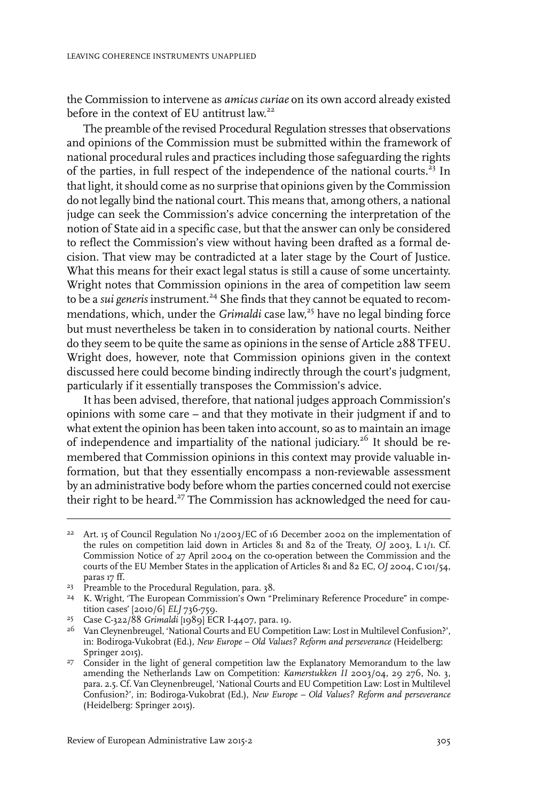the Commission to intervene as *amicus curiae* on its own accord already existed before in the context of EU antitrust law.<sup>22</sup>

The preamble of the revised Procedural Regulation stresses that observations and opinions of the Commission must be submitted within the framework of national procedural rules and practices including those safeguarding the rights of the parties, in full respect of the independence of the national courts.<sup>23</sup> In that light, it should come as no surprise that opinions given by the Commission do not legally bind the national court. This means that, among others, a national judge can seek the Commission's advice concerning the interpretation of the notion of State aid in a specific case, but that the answer can only be considered to reflect the Commission's view without having been drafted as a formal decision. That view may be contradicted at a later stage by the Court of Justice. What this means for their exact legal status is still a cause of some uncertainty. Wright notes that Commission opinions in the area of competition law seem to be a *sui generis* instrument.<sup>24</sup> She finds that they cannot be equated to recommendations, which, under the *Grimaldi* case law, <sup>25</sup> have no legal binding force but must nevertheless be taken in to consideration by national courts. Neither do they seem to be quite the same as opinions in the sense of Article 288 TFEU. Wright does, however, note that Commission opinions given in the context discussed here could become binding indirectly through the court's judgment, particularly if it essentially transposes the Commission's advice.

It has been advised, therefore, that national judges approach Commission's opinions with some care – and that they motivate in their judgment if and to what extent the opinion has been taken into account, so as to maintain an image of independence and impartiality of the national judiciary. <sup>26</sup> It should be remembered that Commission opinions in this context may provide valuable information, but that they essentially encompass a non-reviewable assessment by an administrative body before whom the parties concerned could not exercise their right to be heard.<sup>27</sup> The Commission has acknowledged the need for cau-

<sup>&</sup>lt;sup>22</sup> Art. 15 of Council Regulation No 1/2003/EC of 16 December 2002 on the implementation of the rules on competition laid down in Articles 81 and 82 of the Treaty, *OJ* 2003, L 1/1. Cf. Commission Notice of 27 April 2004 on the co-operation between the Commission and the courts of the EU Member States in the application of Articles 81 and 82 EC, *OJ* 2004, C 101/54, paras 17 ff.

<sup>&</sup>lt;sup>23</sup> Preamble to the Procedural Regulation, para. 38.

<sup>&</sup>lt;sup>24</sup> K. Wright, 'The European Commission's Own "Preliminary Reference Procedure" in competition cases' [2010/6] *ELJ* 736-759.

<sup>&</sup>lt;sup>25</sup> Case C-322/88 *Grimaldi* [1989] ECR I-4407, para. 19.

<sup>&</sup>lt;sup>26</sup> Van Cleynenbreugel, 'National Courts and EU Competition Law: Lost in Multilevel Confusion?', in: Bodiroga-Vukobrat (Ed.), *New Europe – Old Values? Reform and perseverance* (Heidelberg: Springer 2015).

<sup>&</sup>lt;sup>27</sup> Consider in the light of general competition law the Explanatory Memorandum to the law amending the Netherlands Law on Competition: *Kamerstukken II* 2003/04, 29 276, No. 3, para. 2.5. Cf. Van Cleynenbreugel, 'National Courts and EU Competition Law: Lost in Multilevel Confusion?', in: Bodiroga-Vukobrat (Ed.), *New Europe – Old Values? Reform and perseverance* (Heidelberg: Springer 2015).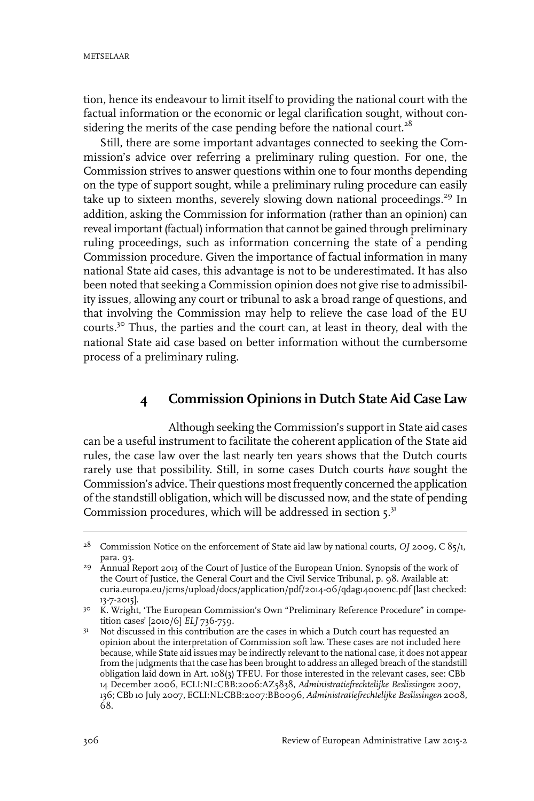tion, hence its endeavour to limit itself to providing the national court with the factual information or the economic or legal clarification sought, without considering the merits of the case pending before the national court.<sup>28</sup>

Still, there are some important advantages connected to seeking the Commission's advice over referring a preliminary ruling question. For one, the Commission strives to answer questions within one to four months depending on the type of support sought, while a preliminary ruling procedure can easily take up to sixteen months, severely slowing down national proceedings.<sup>29</sup> In addition, asking the Commission for information (rather than an opinion) can reveal important (factual) information that cannot be gained through preliminary ruling proceedings, such as information concerning the state of a pending Commission procedure. Given the importance of factual information in many national State aid cases, this advantage is not to be underestimated. It has also been noted that seeking a Commission opinion does not give rise to admissibility issues, allowing any court or tribunal to ask a broad range of questions, and that involving the Commission may help to relieve the case load of the EU courts.<sup>30</sup> Thus, the parties and the court can, at least in theory, deal with the national State aid case based on better information without the cumbersome process of a preliminary ruling.

# **4 Commission Opinions in Dutch State Aid Case Law**

Although seeking the Commission's support in State aid cases can be a useful instrument to facilitate the coherent application of the State aid rules, the case law over the last nearly ten years shows that the Dutch courts rarely use that possibility. Still, in some cases Dutch courts *have* sought the Commission's advice. Their questions most frequently concerned the application of the standstill obligation, which will be discussed now, and the state of pending Commission procedures, which will be addressed in section  $5^{31}$ 

<sup>&</sup>lt;sup>28</sup> Commission Notice on the enforcement of State aid law by national courts, *OJ* 2009, C 85/1, para. 93.

<sup>&</sup>lt;sup>29</sup> Annual Report 2013 of the Court of Justice of the European Union. Synopsis of the work of the Court of Justice, the General Court and the Civil Service Tribunal, p. 98. Available at: curia.europa.eu/jcms/upload/docs/application/pdf/2014-06/qdag14001enc.pdf [last checked: 13-7-2015].

<sup>&</sup>lt;sup>30</sup> K. Wright, 'The European Commission's Own "Preliminary Reference Procedure" in competition cases' [2010/6] *ELJ* 736-759.

Not discussed in this contribution are the cases in which a Dutch court has requested an opinion about the interpretation of Commission soft law. These cases are not included here 31 because, while State aid issues may be indirectly relevant to the national case, it does not appear from the judgments that the case has been brought to address an alleged breach of the standstill obligation laid down in Art. 108(3) TFEU. For those interested in the relevant cases, see: CBb 14 December 2006, ECLI:NL:CBB:2006:AZ5838, *Administratiefrechtelijke Beslissingen* 2007, 136; CBb 10 July 2007, ECLI:NL:CBB:2007:BB0096, *Administratiefrechtelijke Beslissingen* 2008, 68.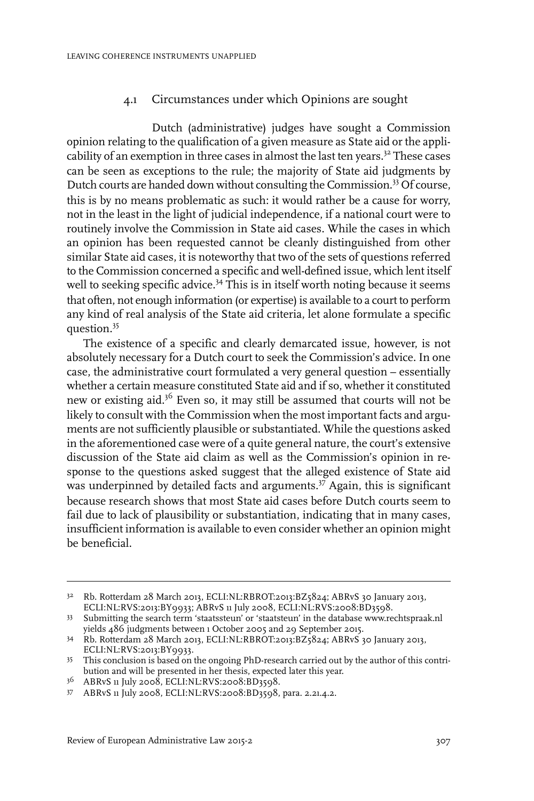#### 4.1 Circumstances under which Opinions are sought

Dutch (administrative) judges have sought a Commission opinion relating to the qualification of a given measure as State aid or the applicability of an exemption in three cases in almost the last ten years.<sup>32</sup> These cases can be seen as exceptions to the rule; the majority of State aid judgments by Dutch courts are handed down without consulting the Commission.<sup>33</sup> Of course, this is by no means problematic as such: it would rather be a cause for worry, not in the least in the light of judicial independence, if a national court were to routinely involve the Commission in State aid cases. While the cases in which an opinion has been requested cannot be cleanly distinguished from other similar State aid cases, it is noteworthy that two of the sets of questions referred to the Commission concerned a specific and well-defined issue, which lent itself well to seeking specific advice.<sup>34</sup> This is in itself worth noting because it seems that often, not enough information (or expertise) is available to a court to perform any kind of real analysis of the State aid criteria, let alone formulate a specific question.<sup>35</sup>

The existence of a specific and clearly demarcated issue, however, is not absolutely necessary for a Dutch court to seek the Commission's advice. In one case, the administrative court formulated a very general question – essentially whether a certain measure constituted State aid and if so, whether it constituted new or existing aid.<sup>36</sup> Even so, it may still be assumed that courts will not be likely to consult with the Commission when the most important facts and arguments are not sufficiently plausible or substantiated. While the questions asked in the aforementioned case were of a quite general nature, the court's extensive discussion of the State aid claim as well as the Commission's opinion in response to the questions asked suggest that the alleged existence of State aid was underpinned by detailed facts and arguments.<sup>37</sup> Again, this is significant because research shows that most State aid cases before Dutch courts seem to fail due to lack of plausibility or substantiation, indicating that in many cases, insufficient information is available to even consider whether an opinion might be beneficial.

<sup>&</sup>lt;sup>32</sup> Rb. Rotterdam 28 March 2013, ECLI:NL:RBROT:2013:BZ5824; ABRvS 30 January 2013, ECLI:NL:RVS:2013:BY9933; ABRvS 11 July 2008, ECLI:NL:RVS:2008:BD3598.

<sup>33</sup> Submitting the search term 'staatssteun' or 'staatsteun' in the database www.rechtspraak.nl yields 486 judgments between 1 October 2005 and 29 September 2015.

Rb. Rotterdam 28 March 2013, ECLI:NL:RBROT:2013:BZ5824; ABRvS 30 January 2013, 34 ECLI:NL:RVS:2013:BY9933.

<sup>&</sup>lt;sup>35</sup> This conclusion is based on the ongoing PhD-research carried out by the author of this contribution and will be presented in her thesis, expected later this year.

 $36$  ABRvS 11 July 2008, ECLI:NL:RVS:2008:BD3598.

<sup>37</sup> ABRvS 11 July 2008, ECLI:NL:RVS:2008:BD3598, para. 2.21.4.2.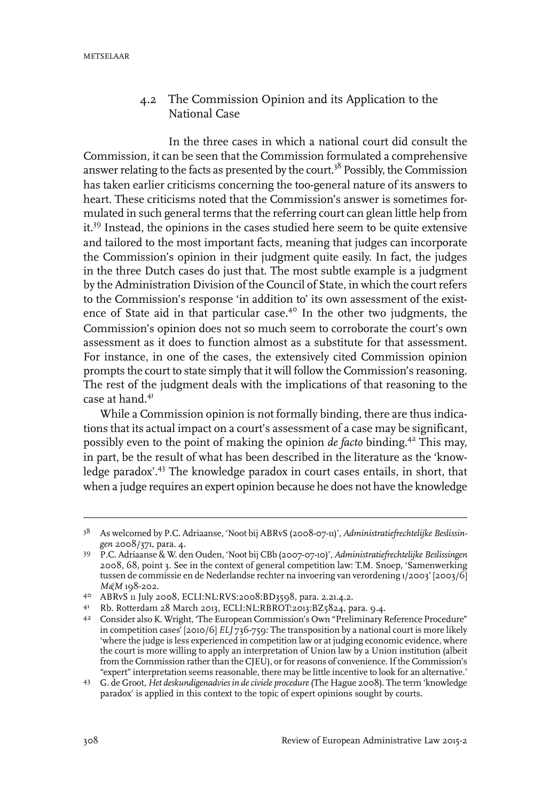#### 4.2 The Commission Opinion and its Application to the National Case

In the three cases in which a national court did consult the Commission, it can be seen that the Commission formulated a comprehensive answer relating to the facts as presented by the court.<sup>38</sup> Possibly, the Commission has taken earlier criticisms concerning the too-general nature of its answers to heart. These criticisms noted that the Commission's answer is sometimes formulated in such general terms that the referring court can glean little help from it.<sup>39</sup> Instead, the opinions in the cases studied here seem to be quite extensive and tailored to the most important facts, meaning that judges can incorporate the Commission's opinion in their judgment quite easily. In fact, the judges in the three Dutch cases do just that. The most subtle example is a judgment by the Administration Division of the Council of State, in which the court refers to the Commission's response 'in addition to' its own assessment of the existence of State aid in that particular case.<sup>40</sup> In the other two judgments, the Commission's opinion does not so much seem to corroborate the court's own assessment as it does to function almost as a substitute for that assessment. For instance, in one of the cases, the extensively cited Commission opinion prompts the court to state simply that it will follow the Commission's reasoning. The rest of the judgment deals with the implications of that reasoning to the case at hand.<sup>41</sup>

While a Commission opinion is not formally binding, there are thus indications that its actual impact on a court's assessment of a case may be significant, possibly even to the point of making the opinion *de facto* binding.<sup>42</sup> This may, in part, be the result of what has been described in the literature as the 'knowledge paradox'.<sup>43</sup> The knowledge paradox in court cases entails, in short, that when a judge requires an expert opinion because he does not have the knowledge

As welcomed by P.C. Adriaanse, 'Noot bij ABRvS (2008-07-11)', *Administratiefrechtelijke Beslissin-*38 *gen* 2008/371, para. 4.

P.C. Adriaanse & W. den Ouden, 'Noot bij CBb (2007-07-10)', *Administratiefrechtelijke Beslissingen* 39 2008, 68, point 3. See in the context of general competition law: T.M. Snoep, 'Samenwerking tussen de commissie en de Nederlandse rechter na invoering van verordening 1/2003' [2003/6] *M&M* 198-202.

<sup>40</sup> ABRvS 11 July 2008, ECLI:NL:RVS:2008:BD3598, para. 2.21.4.2.

<sup>41</sup> Rb. Rotterdam 28 March 2013, ECLI:NL:RBROT:2013:BZ5824, para. 9.4.

Consider also K. Wright, 'The European Commission's Own "Preliminary Reference Procedure" 42 in competition cases' [2010/6] *ELJ* 736-759: The transposition by a national court is more likely 'where the judge is less experienced in competition law or at judging economic evidence, where the court is more willing to apply an interpretation of Union law by a Union institution (albeit from the Commission rather than the CJEU), or for reasons of convenience. If the Commission's "expert" interpretation seems reasonable, there may be little incentive to look for an alternative.'

G. de Groot, *Het deskundigenadvies in deciviele procedure*(The Hague 2008). The term 'knowledge 43 paradox' is applied in this context to the topic of expert opinions sought by courts.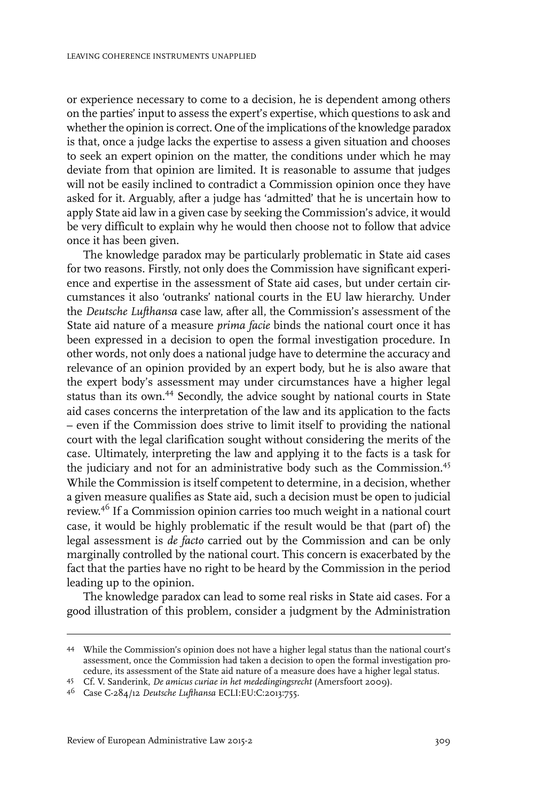or experience necessary to come to a decision, he is dependent among others on the parties' input to assess the expert's expertise, which questions to ask and whether the opinion is correct. One of the implications of the knowledge paradox is that, once a judge lacks the expertise to assess a given situation and chooses to seek an expert opinion on the matter, the conditions under which he may deviate from that opinion are limited. It is reasonable to assume that judges will not be easily inclined to contradict a Commission opinion once they have asked for it. Arguably, after a judge has 'admitted' that he is uncertain how to apply State aid law in a given case by seeking the Commission's advice, it would be very difficult to explain why he would then choose not to follow that advice once it has been given.

The knowledge paradox may be particularly problematic in State aid cases for two reasons. Firstly, not only does the Commission have significant experience and expertise in the assessment of State aid cases, but under certain circumstances it also 'outranks' national courts in the EU law hierarchy. Under the *Deutsche Lufthansa* case law, after all, the Commission's assessment of the State aid nature of a measure *prima facie* binds the national court once it has been expressed in a decision to open the formal investigation procedure. In other words, not only does a national judge have to determine the accuracy and relevance of an opinion provided by an expert body, but he is also aware that the expert body's assessment may under circumstances have a higher legal status than its own.<sup>44</sup> Secondly, the advice sought by national courts in State aid cases concerns the interpretation of the law and its application to the facts – even if the Commission does strive to limit itself to providing the national court with the legal clarification sought without considering the merits of the case. Ultimately, interpreting the law and applying it to the facts is a task for the judiciary and not for an administrative body such as the Commission.<sup>45</sup> While the Commission is itself competent to determine, in a decision, whether a given measure qualifies as State aid, such a decision must be open to judicial review. <sup>46</sup> If a Commission opinion carries too much weight in a national court case, it would be highly problematic if the result would be that (part of) the legal assessment is *de facto* carried out by the Commission and can be only marginally controlled by the national court. This concern is exacerbated by the fact that the parties have no right to be heard by the Commission in the period leading up to the opinion.

The knowledge paradox can lead to some real risks in State aid cases. For a good illustration of this problem, consider a judgment by the Administration

While the Commission's opinion does not have a higher legal status than the national court's 44 assessment, once the Commission had taken a decision to open the formal investigation procedure, its assessment of the State aid nature of a measure does have a higher legal status.

Cf. V. Sanderink, *De amicus curiae in het mededingingsrecht* (Amersfoort 2009). <sup>45</sup>

Case C-284/12 *Deutsche Lufthansa* ECLI:EU:C:2013:755. <sup>46</sup>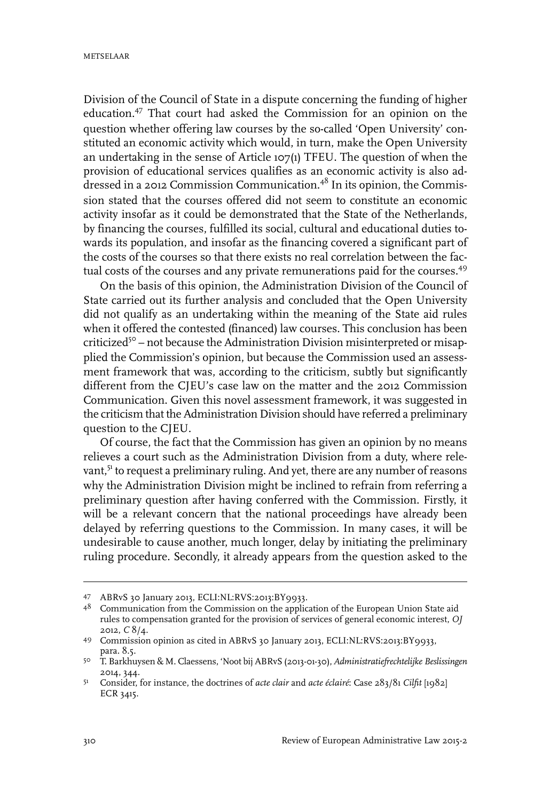Division of the Council of State in a dispute concerning the funding of higher education.<sup>47</sup> That court had asked the Commission for an opinion on the question whether offering law courses by the so-called 'Open University' constituted an economic activity which would, in turn, make the Open University an undertaking in the sense of Article 107(1) TFEU. The question of when the provision of educational services qualifies as an economic activity is also addressed in a 2012 Commission Communication.<sup>48</sup> In its opinion, the Commission stated that the courses offered did not seem to constitute an economic activity insofar as it could be demonstrated that the State of the Netherlands, by financing the courses, fulfilled its social, cultural and educational duties towards its population, and insofar as the financing covered a significant part of the costs of the courses so that there exists no real correlation between the factual costs of the courses and any private remunerations paid for the courses.<sup>49</sup>

On the basis of this opinion, the Administration Division of the Council of State carried out its further analysis and concluded that the Open University did not qualify as an undertaking within the meaning of the State aid rules when it offered the contested (financed) law courses. This conclusion has been criticized<sup>50</sup> - not because the Administration Division misinterpreted or misapplied the Commission's opinion, but because the Commission used an assessment framework that was, according to the criticism, subtly but significantly different from the CJEU's case law on the matter and the 2012 Commission Communication. Given this novel assessment framework, it was suggested in the criticism that the Administration Division should have referred a preliminary question to the CJEU.

Of course, the fact that the Commission has given an opinion by no means relieves a court such as the Administration Division from a duty, where relevant,<sup>51</sup> to request a preliminary ruling. And yet, there are any number of reasons why the Administration Division might be inclined to refrain from referring a preliminary question after having conferred with the Commission. Firstly, it will be a relevant concern that the national proceedings have already been delayed by referring questions to the Commission. In many cases, it will be undesirable to cause another, much longer, delay by initiating the preliminary ruling procedure. Secondly, it already appears from the question asked to the

ABRvS 30 January 2013, ECLI:NL:RVS:2013:BY9933. <sup>47</sup>

<sup>&</sup>lt;sup>48</sup> Communication from the Commission on the application of the European Union State aid rules to compensation granted for the provision of services of general economic interest, *OJ* 2012, *C* 8/4.

Commission opinion as cited in ABRvS 30 January 2013, ECLI:NL:RVS:2013:BY9933, 49 para. 8.5.

T. Barkhuysen & M. Claessens, 'Noot bij ABRvS (2013-01-30), *Administratiefrechtelijke Beslissingen* 50 2014, 344.

Consider, for instance, the doctrines of *acte clair* and *acte éclairé*: Case 283/81 *Cilfit* [1982] 51 ECR 3415.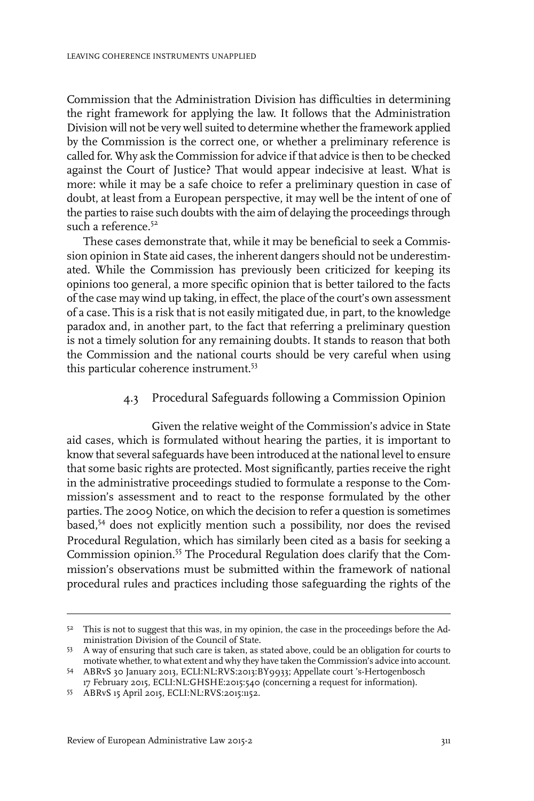Commission that the Administration Division has difficulties in determining the right framework for applying the law. It follows that the Administration Division will not be very well suited to determine whether the framework applied by the Commission is the correct one, or whether a preliminary reference is called for. Why ask the Commission for advice if that advice is then to be checked against the Court of Justice? That would appear indecisive at least. What is more: while it may be a safe choice to refer a preliminary question in case of doubt, at least from a European perspective, it may well be the intent of one of the parties to raise such doubts with the aim of delaying the proceedings through such a reference.<sup>52</sup>

These cases demonstrate that, while it may be beneficial to seek a Commission opinion in State aid cases, the inherent dangers should not be underestimated. While the Commission has previously been criticized for keeping its opinions too general, a more specific opinion that is better tailored to the facts of the case may wind up taking, in effect, the place of the court's own assessment of a case. This is a risk that is not easily mitigated due, in part, to the knowledge paradox and, in another part, to the fact that referring a preliminary question is not a timely solution for any remaining doubts. It stands to reason that both the Commission and the national courts should be very careful when using this particular coherence instrument.<sup>53</sup>

#### 4.3 Procedural Safeguards following a Commission Opinion

Given the relative weight of the Commission's advice in State aid cases, which is formulated without hearing the parties, it is important to know that several safeguards have been introduced at the national level to ensure that some basic rights are protected. Most significantly, parties receive the right in the administrative proceedings studied to formulate a response to the Commission's assessment and to react to the response formulated by the other parties. The 2009 Notice, on which the decision to refer a question is sometimes based,<sup>54</sup> does not explicitly mention such a possibility, nor does the revised Procedural Regulation, which has similarly been cited as a basis for seeking a Commission opinion.<sup>55</sup> The Procedural Regulation does clarify that the Commission's observations must be submitted within the framework of national procedural rules and practices including those safeguarding the rights of the

 $5<sup>2</sup>$  This is not to suggest that this was, in my opinion, the case in the proceedings before the Administration Division of the Council of State.

<sup>53</sup> A way of ensuring that such care is taken, as stated above, could be an obligation for courts to motivate whether, to what extent and why they have taken the Commission's advice into account. ABRvS 30 January 2013, ECLI:NL:RVS:2013:BY9933; Appellate court 's-Hertogenbosch 54

<sup>17</sup> February 2015, ECLI:NL:GHSHE:2015:540 (concerning a request for information).

<sup>55</sup> ABRvS 15 April 2015, ECLI:NL:RVS:2015:1152.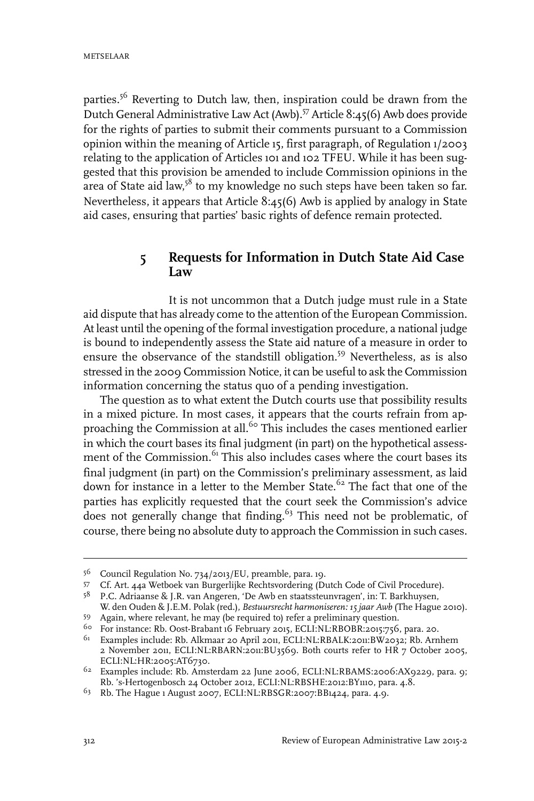parties.<sup>56</sup> Reverting to Dutch law, then, inspiration could be drawn from the Dutch General Administrative Law Act (Awb).<sup>57</sup> Article 8:45(6) Awb does provide for the rights of parties to submit their comments pursuant to a Commission opinion within the meaning of Article 15, first paragraph, of Regulation 1/2003 relating to the application of Articles 101 and 102 TFEU. While it has been suggested that this provision be amended to include Commission opinions in the area of State aid law,<sup>58</sup> to my knowledge no such steps have been taken so far. Nevertheless, it appears that Article 8:45(6) Awb is applied by analogy in State aid cases, ensuring that parties' basic rights of defence remain protected.

## **5 Requests for Information in Dutch State Aid Case Law**

It is not uncommon that a Dutch judge must rule in a State aid dispute that has already come to the attention of the European Commission. At least until the opening of the formal investigation procedure, a national judge is bound to independently assess the State aid nature of a measure in order to ensure the observance of the standstill obligation.<sup>59</sup> Nevertheless, as is also stressed in the 2009 Commission Notice, it can be useful to ask the Commission information concerning the status quo of a pending investigation.

The question as to what extent the Dutch courts use that possibility results in a mixed picture. In most cases, it appears that the courts refrain from approaching the Commission at all.<sup>60</sup> This includes the cases mentioned earlier in which the court bases its final judgment (in part) on the hypothetical assessment of the Commission.<sup>61</sup> This also includes cases where the court bases its final judgment (in part) on the Commission's preliminary assessment, as laid down for instance in a letter to the Member State.<sup>62</sup> The fact that one of the parties has explicitly requested that the court seek the Commission's advice does not generally change that finding.<sup>63</sup> This need not be problematic, of course, there being no absolute duty to approach the Commission in such cases.

<sup>56</sup> Council Regulation No. 734/2013/EU, preamble, para. 19.

Cf. Art. 44a Wetboek van Burgerlijke Rechtsvordering (Dutch Code of Civil Procedure). <sup>57</sup>

<sup>&</sup>lt;sup>58</sup> P.C. Adriaanse & J.R. van Angeren, 'De Awb en staatssteunvragen', in: T. Barkhuysen, W. den Ouden & J.E.M. Polak (red.), *Bestuursrecht harmoniseren: 15 jaar Awb* (The Hague 2010).

Again, where relevant, he may (be required to) refer a preliminary question. <sup>59</sup>

<sup>&</sup>lt;sup>60</sup> For instance: Rb. Oost-Brabant 16 February 2015, ECLI:NL:RBOBR:2015:756, para. 20.

<sup>&</sup>lt;sup>61</sup> Examples include: Rb. Alkmaar 20 April 2011, ECLI:NL:RBALK:2011:BW2032; Rb. Arnhem 2 November 2011, ECLI:NL:RBARN:2011:BU3569. Both courts refer to HR 7 October 2005, ECLI:NL:HR:2005:AT6730.

 $62$  Examples include: Rb. Amsterdam 22 June 2006, ECLI:NL:RBAMS:2006:AX9229, para. 9; Rb. 's-Hertogenbosch 24 October 2012, ECLI:NL:RBSHE:2012:BY1110, para. 4.8.

<sup>&</sup>lt;sup>63</sup> Rb. The Hague 1 August 2007, ECLI:NL:RBSGR:2007:BB1424, para. 4.9.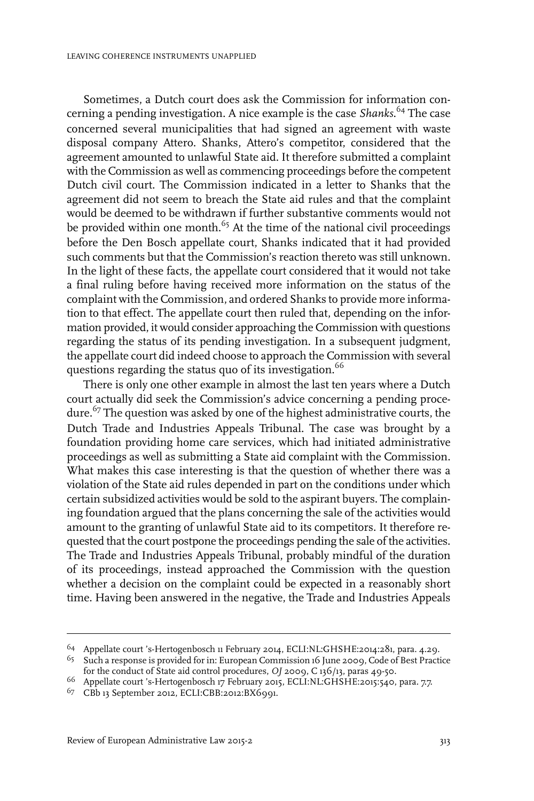Sometimes, a Dutch court does ask the Commission for information concerning a pending investigation. A nice example is the case *Shanks*. <sup>64</sup> The case concerned several municipalities that had signed an agreement with waste disposal company Attero. Shanks, Attero's competitor, considered that the agreement amounted to unlawful State aid. It therefore submitted a complaint with the Commission as well as commencing proceedings before the competent Dutch civil court. The Commission indicated in a letter to Shanks that the agreement did not seem to breach the State aid rules and that the complaint would be deemed to be withdrawn if further substantive comments would not be provided within one month. $65$  At the time of the national civil proceedings before the Den Bosch appellate court, Shanks indicated that it had provided such comments but that the Commission's reaction thereto was still unknown. In the light of these facts, the appellate court considered that it would not take a final ruling before having received more information on the status of the complaint with the Commission, and ordered Shanks to provide more information to that effect. The appellate court then ruled that, depending on the information provided, it would consider approaching the Commission with questions regarding the status of its pending investigation. In a subsequent judgment, the appellate court did indeed choose to approach the Commission with several questions regarding the status quo of its investigation.<sup>66</sup>

There is only one other example in almost the last ten years where a Dutch court actually did seek the Commission's advice concerning a pending procedure.<sup>67</sup> The question was asked by one of the highest administrative courts, the Dutch Trade and Industries Appeals Tribunal. The case was brought by a foundation providing home care services, which had initiated administrative proceedings as well as submitting a State aid complaint with the Commission. What makes this case interesting is that the question of whether there was a violation of the State aid rules depended in part on the conditions under which certain subsidized activities would be sold to the aspirant buyers. The complaining foundation argued that the plans concerning the sale of the activities would amount to the granting of unlawful State aid to its competitors. It therefore requested that the court postpone the proceedings pending the sale of the activities. The Trade and Industries Appeals Tribunal, probably mindful of the duration of its proceedings, instead approached the Commission with the question whether a decision on the complaint could be expected in a reasonably short time. Having been answered in the negative, the Trade and Industries Appeals

<sup>&</sup>lt;sup>64</sup> Appellate court 's-Hertogenbosch 11 February 2014, ECLI:NL:GHSHE:2014:281, para. 4.29.

 $^{65}$  Such a response is provided for in: European Commission 16 June 2009, Code of Best Practice for the conduct of State aid control procedures, *OJ* 2009, C 136/13, paras 49-50.

<sup>&</sup>lt;sup>66</sup> Appellate court 's-Hertogenbosch 17 February 2015, ECLI:NL:GHSHE:2015:540, para. 7.7.

<sup>&</sup>lt;sup>67</sup> CBb 13 September 2012, ECLI:CBB:2012:BX6991.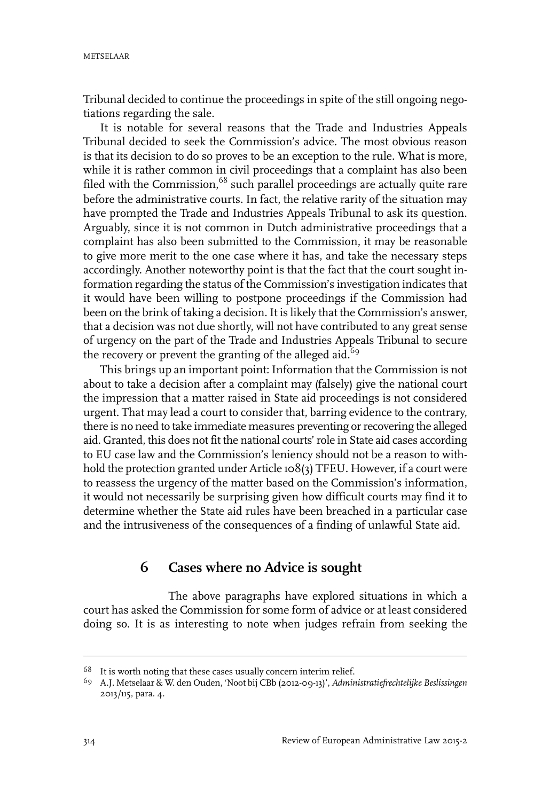METSELAAR

Tribunal decided to continue the proceedings in spite of the still ongoing negotiations regarding the sale.

It is notable for several reasons that the Trade and Industries Appeals Tribunal decided to seek the Commission's advice. The most obvious reason is that its decision to do so proves to be an exception to the rule. What is more, while it is rather common in civil proceedings that a complaint has also been filed with the Commission,<sup>68</sup> such parallel proceedings are actually quite rare before the administrative courts. In fact, the relative rarity of the situation may have prompted the Trade and Industries Appeals Tribunal to ask its question. Arguably, since it is not common in Dutch administrative proceedings that a complaint has also been submitted to the Commission, it may be reasonable to give more merit to the one case where it has, and take the necessary steps accordingly. Another noteworthy point is that the fact that the court sought information regarding the status of the Commission's investigation indicates that it would have been willing to postpone proceedings if the Commission had been on the brink of taking a decision. It is likely that the Commission's answer, that a decision was not due shortly, will not have contributed to any great sense of urgency on the part of the Trade and Industries Appeals Tribunal to secure the recovery or prevent the granting of the alleged aid.<sup>69</sup>

This brings up an important point: Information that the Commission is not about to take a decision after a complaint may (falsely) give the national court the impression that a matter raised in State aid proceedings is not considered urgent. That may lead a court to consider that, barring evidence to the contrary, there is no need to take immediate measures preventing or recovering the alleged aid. Granted, this does not fit the national courts'role in State aid cases according to EU case law and the Commission's leniency should not be a reason to withhold the protection granted under Article 108(3) TFEU. However, if a court were to reassess the urgency of the matter based on the Commission's information, it would not necessarily be surprising given how difficult courts may find it to determine whether the State aid rules have been breached in a particular case and the intrusiveness of the consequences of a finding of unlawful State aid.

# **6 Cases where no Advice is sought**

The above paragraphs have explored situations in which a court has asked the Commission for some form of advice or at least considered doing so. It is as interesting to note when judges refrain from seeking the

 $68$  It is worth noting that these cases usually concern interim relief.

A.J. Metselaar & W. den Ouden, 'Noot bij CBb (2012-09-13)', *Administratiefrechtelijke Beslissingen* 69 2013/115, para. 4.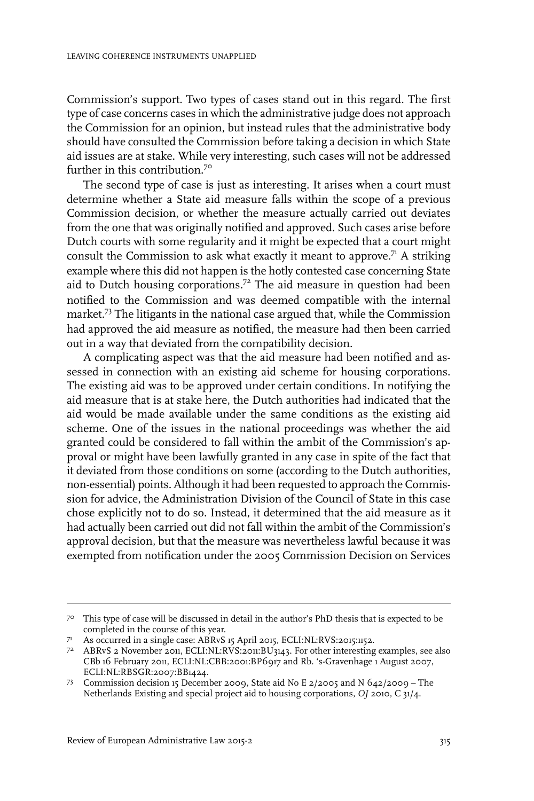Commission's support. Two types of cases stand out in this regard. The first type of case concerns cases in which the administrative judge does not approach the Commission for an opinion, but instead rules that the administrative body should have consulted the Commission before taking a decision in which State aid issues are at stake. While very interesting, such cases will not be addressed further in this contribution.<sup>70</sup>

The second type of case is just as interesting. It arises when a court must determine whether a State aid measure falls within the scope of a previous Commission decision, or whether the measure actually carried out deviates from the one that was originally notified and approved. Such cases arise before Dutch courts with some regularity and it might be expected that a court might consult the Commission to ask what exactly it meant to approve.<sup>71</sup> A striking example where this did not happen is the hotly contested case concerning State aid to Dutch housing corporations.<sup>72</sup> The aid measure in question had been notified to the Commission and was deemed compatible with the internal market.<sup>73</sup> The litigants in the national case argued that, while the Commission had approved the aid measure as notified, the measure had then been carried out in a way that deviated from the compatibility decision.

A complicating aspect was that the aid measure had been notified and assessed in connection with an existing aid scheme for housing corporations. The existing aid was to be approved under certain conditions. In notifying the aid measure that is at stake here, the Dutch authorities had indicated that the aid would be made available under the same conditions as the existing aid scheme. One of the issues in the national proceedings was whether the aid granted could be considered to fall within the ambit of the Commission's approval or might have been lawfully granted in any case in spite of the fact that it deviated from those conditions on some (according to the Dutch authorities, non-essential) points. Although it had been requested to approach the Commission for advice, the Administration Division of the Council of State in this case chose explicitly not to do so. Instead, it determined that the aid measure as it had actually been carried out did not fall within the ambit of the Commission's approval decision, but that the measure was nevertheless lawful because it was exempted from notification under the 2005 Commission Decision on Services

<sup>&</sup>lt;sup>70</sup> This type of case will be discussed in detail in the author's PhD thesis that is expected to be completed in the course of this year.

As occurred in a single case: ABRvS 15 April 2015, ECLI:NL:RVS:2015:1152. <sup>71</sup>

ABRvS 2 November 2011, ECLI:NL:RVS:2011:BU3143. For other interesting examples, see also 72 CBb 16 February 2011, ECLI:NL:CBB:2001:BP6917 and Rb. 's-Gravenhage 1 August 2007, ECLI:NL:RBSGR:2007:BB1424.

Commission decision 15 December 2009, State aid No E 2/2005 and N 642/2009 – The 73 Netherlands Existing and special project aid to housing corporations, *OJ* 2010, C 31/4.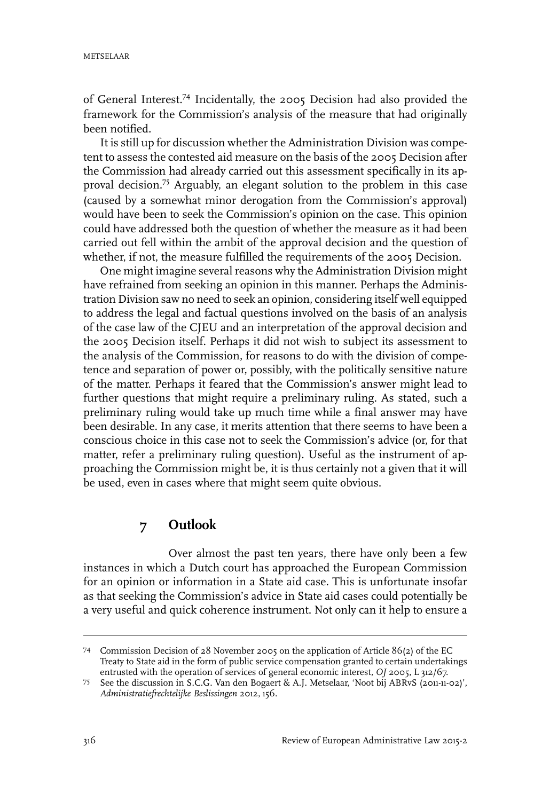of General Interest.<sup>74</sup> Incidentally, the 2005 Decision had also provided the framework for the Commission's analysis of the measure that had originally been notified.

It is still up for discussion whether the Administration Division was competent to assess the contested aid measure on the basis of the 2005 Decision after the Commission had already carried out this assessment specifically in its approval decision.<sup>75</sup> Arguably, an elegant solution to the problem in this case (caused by a somewhat minor derogation from the Commission's approval) would have been to seek the Commission's opinion on the case. This opinion could have addressed both the question of whether the measure as it had been carried out fell within the ambit of the approval decision and the question of whether, if not, the measure fulfilled the requirements of the 2005 Decision.

One might imagine several reasons why the Administration Division might have refrained from seeking an opinion in this manner. Perhaps the Administration Division saw no need to seek an opinion, considering itself well equipped to address the legal and factual questions involved on the basis of an analysis of the case law of the CJEU and an interpretation of the approval decision and the 2005 Decision itself. Perhaps it did not wish to subject its assessment to the analysis of the Commission, for reasons to do with the division of competence and separation of power or, possibly, with the politically sensitive nature of the matter. Perhaps it feared that the Commission's answer might lead to further questions that might require a preliminary ruling. As stated, such a preliminary ruling would take up much time while a final answer may have been desirable. In any case, it merits attention that there seems to have been a conscious choice in this case not to seek the Commission's advice (or, for that matter, refer a preliminary ruling question). Useful as the instrument of approaching the Commission might be, it is thus certainly not a given that it will be used, even in cases where that might seem quite obvious.

## **7 Outlook**

Over almost the past ten years, there have only been a few instances in which a Dutch court has approached the European Commission for an opinion or information in a State aid case. This is unfortunate insofar as that seeking the Commission's advice in State aid cases could potentially be a very useful and quick coherence instrument. Not only can it help to ensure a

Commission Decision of 28 November 2005 on the application of Article 86(2) of the EC 74 Treaty to State aid in the form of public service compensation granted to certain undertakings entrusted with the operation of services of general economic interest, *OJ* 2005, L 312/67.

See the discussion in S.C.G. Van den Bogaert & A.J. Metselaar, 'Noot bij ABRvS (2011-11-02)', 75 *Administratiefrechtelijke Beslissingen* 2012, 156.